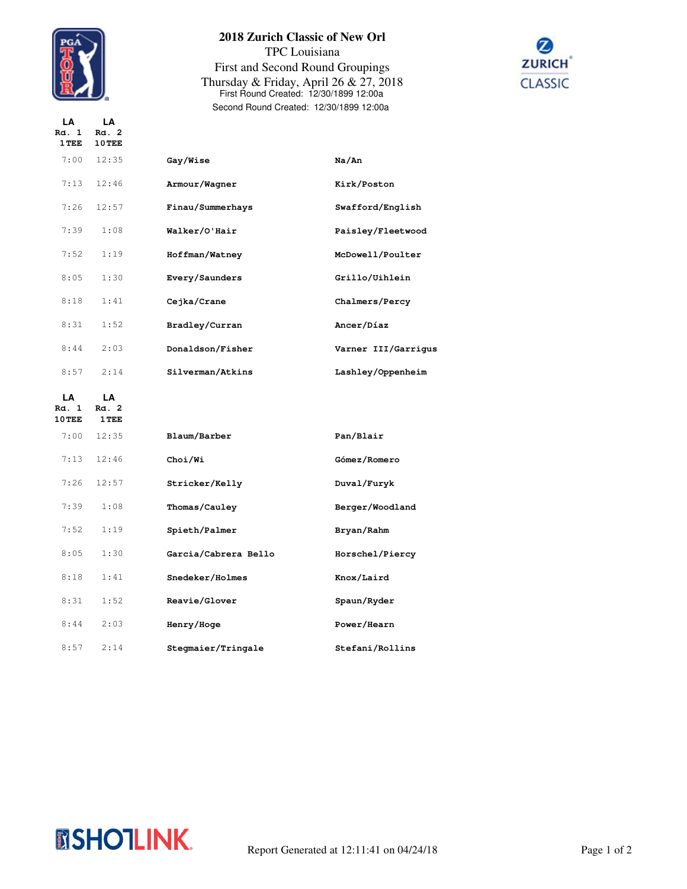

**LA LA**

## **2018 Zurich Classic of New Orl** TPC Louisiana First and Second Round Groupings Thursday & Friday, April 26 & 27, 2018 First Round Created: 12/30/1899 12:00a Second Round Created: 12/30/1899 12:00a



| Rd. 1<br>1 TEE          | Rd. 2<br>10 TEE      |                      |                     |
|-------------------------|----------------------|----------------------|---------------------|
| 7:00                    | 12:35                | Gay/Wise             | Na/An               |
| 7:13                    | 12:46                | Armour/Wagner        | Kirk/Poston         |
| 7:26                    | 12:57                | Finau/Summerhays     | Swafford/English    |
| 7:39                    | 1:08                 | Walker/O'Hair        | Paisley/Fleetwood   |
| 7:52                    | 1:19                 | Hoffman/Watney       | McDowell/Poulter    |
| 8:05                    | 1:30                 | Every/Saunders       | Grillo/Uihlein      |
| 8:18                    | 1:41                 | Cejka/Crane          | Chalmers/Percy      |
| 8:31                    | 1:52                 | Bradley/Curran       | Ancer/Díaz          |
| 8:44                    | 2:03                 | Donaldson/Fisher     | Varner III/Garrigus |
| 8:57                    | 2:14                 | Silverman/Atkins     | Lashley/Oppenheim   |
|                         |                      |                      |                     |
| LA<br>Rd. 1<br>$10$ TEE | LA<br>Rd. 2<br>1 TEE |                      |                     |
| 7:00                    | 12:35                | Blaum/Barber         | Pan/Blair           |
| 7:13                    | 12:46                | Choi/Wi              | Gómez/Romero        |
| 7:26                    | 12:57                | Stricker/Kelly       | Duval/Furyk         |
| 7:39                    | 1:08                 | Thomas/Cauley        | Berger/Woodland     |
| 7:52                    | 1:19                 | Spieth/Palmer        | Bryan/Rahm          |
| 8:05                    | 1:30                 | Garcia/Cabrera Bello | Horschel/Piercy     |
| 8:18                    | 1:41                 | Snedeker/Holmes      | Knox/Laird          |
| 8:31                    | 1:52                 | Reavie/Glover        | Spaun/Ryder         |
| 8:44                    | 2:03                 | Henry/Hoge           | Power/Hearn         |